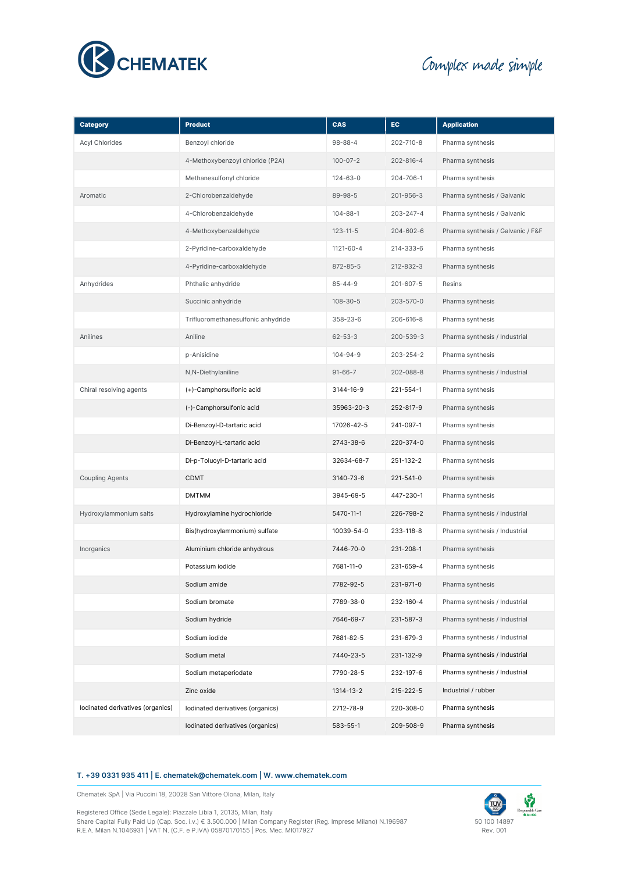

# Complex made simple

| <b>Category</b>                  | <b>Product</b>                     | <b>CAS</b>     | EC              | <b>Application</b>                |
|----------------------------------|------------------------------------|----------------|-----------------|-----------------------------------|
| <b>Acyl Chlorides</b>            | Benzoyl chloride                   | $98 - 88 - 4$  | 202-710-8       | Pharma synthesis                  |
|                                  | 4-Methoxybenzoyl chloride (P2A)    | $100 - 07 - 2$ | 202-816-4       | Pharma synthesis                  |
|                                  | Methanesulfonyl chloride           | $124 - 63 - 0$ | 204-706-1       | Pharma synthesis                  |
| Aromatic                         | 2-Chlorobenzaldehyde               | 89-98-5        | 201-956-3       | Pharma synthesis / Galvanic       |
|                                  | 4-Chlorobenzaldehyde               | $104 - 88 - 1$ | $203 - 247 - 4$ | Pharma synthesis / Galvanic       |
|                                  | 4-Methoxybenzaldehyde              | $123 - 11 - 5$ | $204 - 602 - 6$ | Pharma synthesis / Galvanic / F&F |
|                                  | 2-Pyridine-carboxaldehyde          | 1121-60-4      | 214-333-6       | Pharma synthesis                  |
|                                  | 4-Pyridine-carboxaldehyde          | $872 - 85 - 5$ | 212-832-3       | Pharma synthesis                  |
| Anhydrides                       | Phthalic anhydride                 | $85 - 44 - 9$  | 201-607-5       | Resins                            |
|                                  | Succinic anhydride                 | $108 - 30 - 5$ | 203-570-0       | Pharma synthesis                  |
|                                  | Trifluoromethanesulfonic anhydride | $358 - 23 - 6$ | 206-616-8       | Pharma synthesis                  |
| Anilines                         | Aniline                            | $62 - 53 - 3$  | $200 - 539 - 3$ | Pharma synthesis / Industrial     |
|                                  | p-Anisidine                        | $104 - 94 - 9$ | 203-254-2       | Pharma synthesis                  |
|                                  | N,N-Diethylaniline                 | $91 - 66 - 7$  | 202-088-8       | Pharma synthesis / Industrial     |
| Chiral resolving agents          | (+)-Camphorsulfonic acid           | 3144-16-9      | 221-554-1       | Pharma synthesis                  |
|                                  | (-)-Camphorsulfonic acid           | 35963-20-3     | 252-817-9       | Pharma synthesis                  |
|                                  | Di-Benzoyl-D-tartaric acid         | 17026-42-5     | 241-097-1       | Pharma synthesis                  |
|                                  | Di-Benzoyl-L-tartaric acid         | 2743-38-6      | 220-374-0       | Pharma synthesis                  |
|                                  | Di-p-Toluoyl-D-tartaric acid       | 32634-68-7     | 251-132-2       | Pharma synthesis                  |
| <b>Coupling Agents</b>           | <b>CDMT</b>                        | 3140-73-6      | 221-541-0       | Pharma synthesis                  |
|                                  | <b>DMTMM</b>                       | 3945-69-5      | 447-230-1       | Pharma synthesis                  |
| Hydroxylammonium salts           | Hydroxylamine hydrochloride        | 5470-11-1      | 226-798-2       | Pharma synthesis / Industrial     |
|                                  | Bis(hydroxylammonium) sulfate      | 10039-54-0     | 233-118-8       | Pharma synthesis / Industrial     |
| Inorganics                       | Aluminium chloride anhydrous       | 7446-70-0      | 231-208-1       | Pharma synthesis                  |
|                                  | Potassium iodide                   | 7681-11-0      | 231-659-4       | Pharma synthesis                  |
|                                  | Sodium amide                       | 7782-92-5      | 231-971-0       | Pharma synthesis                  |
|                                  | Sodium bromate                     | 7789-38-0      | 232-160-4       | Pharma synthesis / Industrial     |
|                                  | Sodium hydride                     | 7646-69-7      | 231-587-3       | Pharma synthesis / Industrial     |
|                                  | Sodium iodide                      | 7681-82-5      | 231-679-3       | Pharma synthesis / Industrial     |
|                                  | Sodium metal                       | 7440-23-5      | 231-132-9       | Pharma synthesis / Industrial     |
|                                  | Sodium metaperiodate               | 7790-28-5      | 232-197-6       | Pharma synthesis / Industrial     |
|                                  | Zinc oxide                         | 1314-13-2      | $215 - 222 - 5$ | Industrial / rubber               |
| Iodinated derivatives (organics) | Iodinated derivatives (organics)   | 2712-78-9      | 220-308-0       | Pharma synthesis                  |
|                                  | Iodinated derivatives (organics)   | 583-55-1       | 209-508-9       | Pharma synthesis                  |

## **T. +39 0331 935 411 | E. chematek@chematek.com | W. www.chematek.com**

Chematek SpA | Via Puccini 18, 20028 San Vittore Olona, Milan, Italy

Registered Office (Sede Legale): Piazzale Libia 1, 20135, Milan, Italy Share Capital Fully Paid Up (Cap. Soc. i.v.) € 3.500.000 | Milan Company Register (Reg. Imprese Milano) N.196987 R.E.A. Milan N.1046931 | VAT N. (C.F. e P.IVA) 05870170155 | Pos. Mec. MI017927

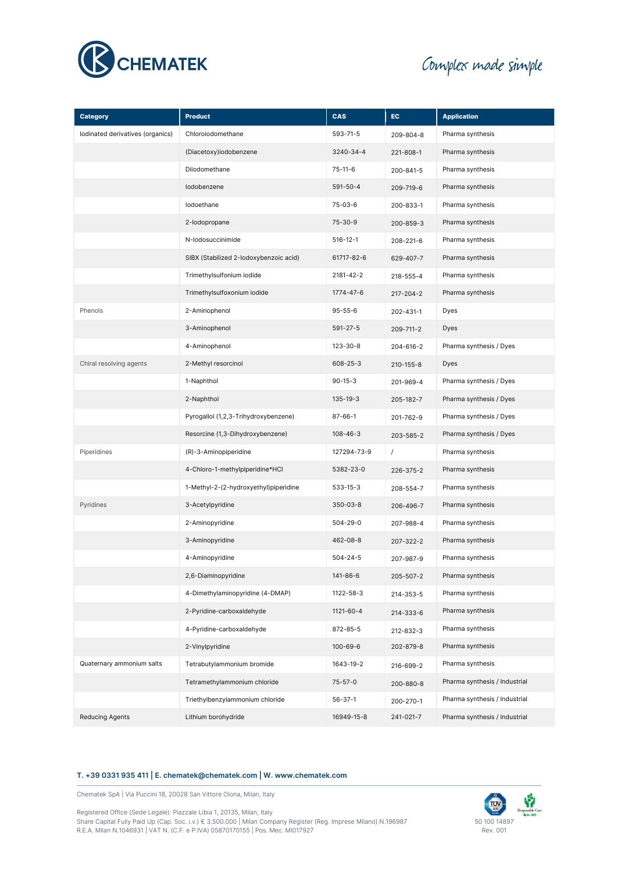

# Complex made simple

| <b>Category</b>                  | <b>Product</b>                         | CAS            | EC.             | <b>Application</b>            |  |
|----------------------------------|----------------------------------------|----------------|-----------------|-------------------------------|--|
| Iodinated derivatives (organics) | Chloroiodomethane                      | 593-71-5       | 209-804-8       | Pharma synthesis              |  |
|                                  | (Diacetoxy)iodobenzene                 | 3240-34-4      | 221-808-1       | Pharma synthesis              |  |
|                                  | Diiodomethane                          | $75-11-6$      | 200-841-5       | Pharma synthesis              |  |
|                                  | lodobenzene                            | $591 - 50 - 4$ | 209-719-6       | Pharma synthesis              |  |
|                                  | lodoethane                             | 75-03-6        | 200-833-1       | Pharma synthesis              |  |
|                                  | 2-lodopropane                          | $75 - 30 - 9$  | 200-859-3       | Pharma synthesis              |  |
|                                  | N-lodosuccinimide                      | $516 - 12 - 1$ | 208-221-6       | Pharma synthesis              |  |
|                                  | SIBX (Stabilized 2-lodoxybenzoic acid) | 61717-82-6     | 629-407-7       | Pharma synthesis              |  |
|                                  | Trimethylsulfonium iodide              | 2181-42-2      | 218-555-4       | Pharma synthesis              |  |
|                                  | Trimethylsulfoxonium iodide            | 1774-47-6      | 217-204-2       | Pharma synthesis              |  |
| Phenols                          | 2-Aminophenol                          | $95 - 55 - 6$  | 202-431-1       | Dyes                          |  |
|                                  | 3-Aminophenol                          | $591 - 27 - 5$ | 209-711-2       | Dyes                          |  |
|                                  | 4-Aminophenol                          | 123-30-8       | 204-616-2       | Pharma synthesis / Dyes       |  |
| Chiral resolving agents          | 2-Methyl resorcinol                    | $608 - 25 - 3$ | $210 - 155 - 8$ | Dyes                          |  |
|                                  | 1-Naphthol                             | $90 - 15 - 3$  | 201-969-4       | Pharma synthesis / Dyes       |  |
|                                  | 2-Naphthol                             | 135-19-3       | 205-182-7       | Pharma synthesis / Dyes       |  |
|                                  | Pyrogallol (1,2,3-Trihydroxybenzene)   | $87 - 66 - 1$  | 201-762-9       | Pharma synthesis / Dyes       |  |
|                                  | Resorcine (1,3-Dihydroxybenzene)       | $108 - 46 - 3$ | 203-585-2       | Pharma synthesis / Dyes       |  |
| Piperidines                      | (R)-3-Aminopiperidine                  | 127294-73-9    | $\sqrt{ }$      | Pharma synthesis              |  |
|                                  | 4-Chloro-1-methylpiperidine*HCl        | 5382-23-0      | 226-375-2       | Pharma synthesis              |  |
|                                  | 1-Methyl-2-(2-hydroxyethyl)piperidine  | $533 - 15 - 3$ | 208-554-7       | Pharma synthesis              |  |
| Pyridines                        | 3-Acetylpyridine                       | $350 - 03 - 8$ | 206-496-7       | Pharma synthesis              |  |
|                                  | 2-Aminopyridine                        | 504-29-0       | 207-988-4       | Pharma synthesis              |  |
|                                  | 3-Aminopyridine                        | 462-08-8       | 207-322-2       | Pharma synthesis              |  |
|                                  | 4-Aminopyridine                        | $504 - 24 - 5$ | 207-987-9       | Pharma synthesis              |  |
|                                  | 2,6-Diaminopyridine                    | 141-86-6       | 205-507-2       | Pharma synthesis              |  |
|                                  | 4-Dimethylaminopyridine (4-DMAP)       | 1122-58-3      | 214-353-5       | Pharma synthesis              |  |
|                                  | 2-Pyridine-carboxaldehyde              | 1121-60-4      | 214-333-6       | Pharma synthesis              |  |
|                                  | 4-Pyridine-carboxaldehyde              | 872-85-5       | 212-832-3       | Pharma synthesis              |  |
|                                  | 2-Vinylpyridine                        | 100-69-6       | 202-879-8       | Pharma synthesis              |  |
| Quaternary ammonium salts        | Tetrabutylammonium bromide             | 1643-19-2      | 216-699-2       | Pharma synthesis              |  |
|                                  | Tetramethylammonium chloride           | $75 - 57 - 0$  | 200-880-8       | Pharma synthesis / Industrial |  |
|                                  | Triethylbenzylammonium chloride        | $56 - 37 - 1$  | 200-270-1       | Pharma synthesis / Industrial |  |
| <b>Reducing Agents</b>           | Lithium borohydride                    | 16949-15-8     | 241-021-7       | Pharma synthesis / Industrial |  |

## **T. +39 0331 935 411 | E. chematek@chematek.com | W. www.chematek.com**

Chematek SpA | Via Puccini 18, 20028 San Vittore Olona, Milan, Italy

Registered Office (Sede Legale): Piazzale Libia 1, 20135, Milan, Italy Share Capital Fully Paid Up (Cap. Soc. i.v.) € 3.500.000 | Milan Company Register (Reg. Imprese Milano) N.196987 R.E.A. Milan N.1046931 | VAT N. (C.F. e P.IVA) 05870170155 | Pos. Mec. MI017927